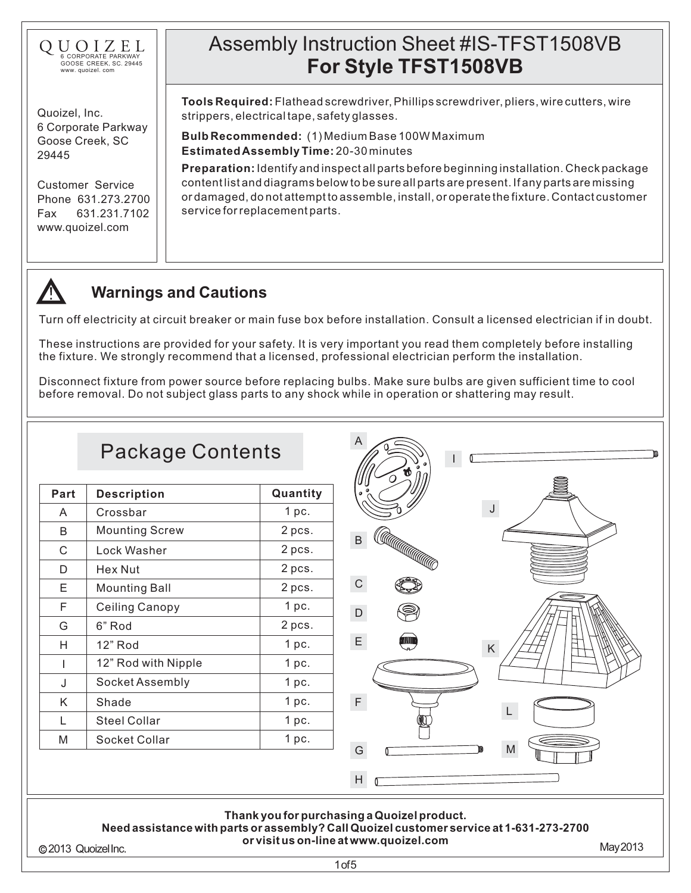

Quoizel, Inc. 6 Corporate Parkway Goose Creek, SC 29445

Customer Service Phone 631.273.2700 Fax 631.231.7102 www.quoizel.com

# Assembly Instruction Sheet #IS-TFST1508VB **For Style TFST1508VB**

**Tools Required:** Flathead screwdriver, Phillips screwdriver, pliers, wire cutters, wire strippers,electricaltape,safetyglasses.

**EstimatedAssemblyTime:** 20-30minutes **BulbRecommended:** (1)MediumBase100WMaximum

**Preparation:**Identifyandinspectallpartsbeforebeginninginstallation.Checkpackage contentlistanddiagramsbelowtobesureallpartsarepresent.Ifanypartsaremissing ordamaged,donotattempttoassemble,install,oroperatethefixture.Contactcustomer serviceforreplacementparts.



### **Warnings and Cautions**

Turn off electricity at circuit breaker or main fuse box before installation. Consult a licensed electrician if in doubt.

These instructions are provided for your safety. It is very important you read them completely before installing the fixture. We strongly recommend that a licensed, professional electrician perform the installation.

Disconnect fixture from power source before replacing bulbs. Make sure bulbs are given sufficient time to cool before removal. Do not subject glass parts to any shock while in operation or shattering may result.

#### A Package Contents I **Part** Description **Quantity** J A Crossbar 1 pc. Mounting Screw B 2 pcs. CAUTANANA SER B C Lock Washer 2 pcs. D Hex Nut 2 pcs. C E Mounting Ball 2 pcs. F Ceiling Canopy 1 pc. D G 6" Rod 2 pcs. E 1 pc. 12" Rod H K  $\vert$  12" Rod with Nipple  $\vert$  1 pc. Socket Assembly 1 pc. J K F Shade 1 pc. L L Steel Collar 1 pc. M Socket Collar 1 pc. M G H **Thank youfor purchasinga Quoizelproduct. Needassistance withparts or assembly?CallQuoizelcustomer service at 1-631-273-2700 or visit us on-line at www.quoizel.com** 2013 QuoizelInc. May2013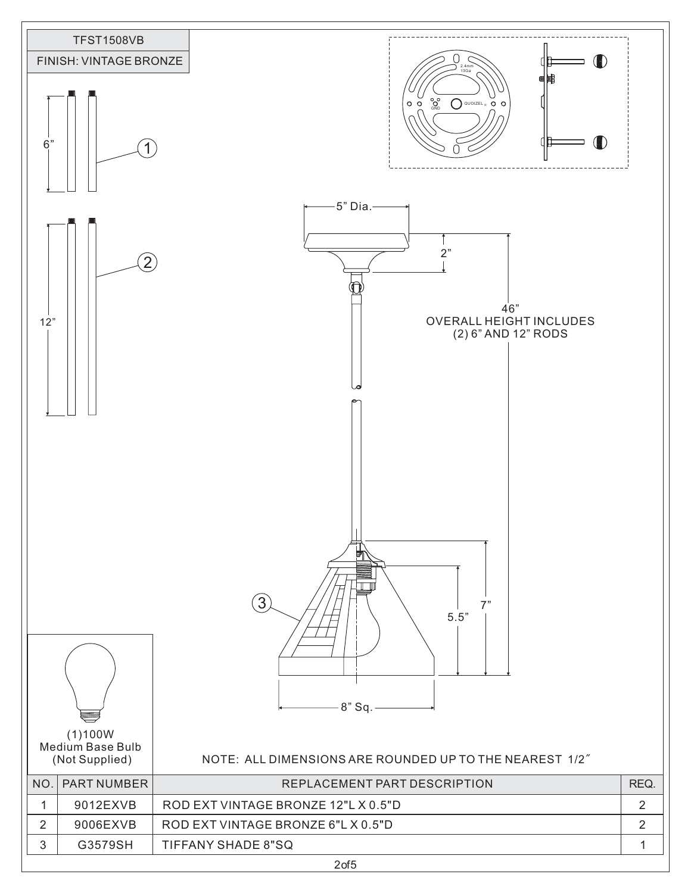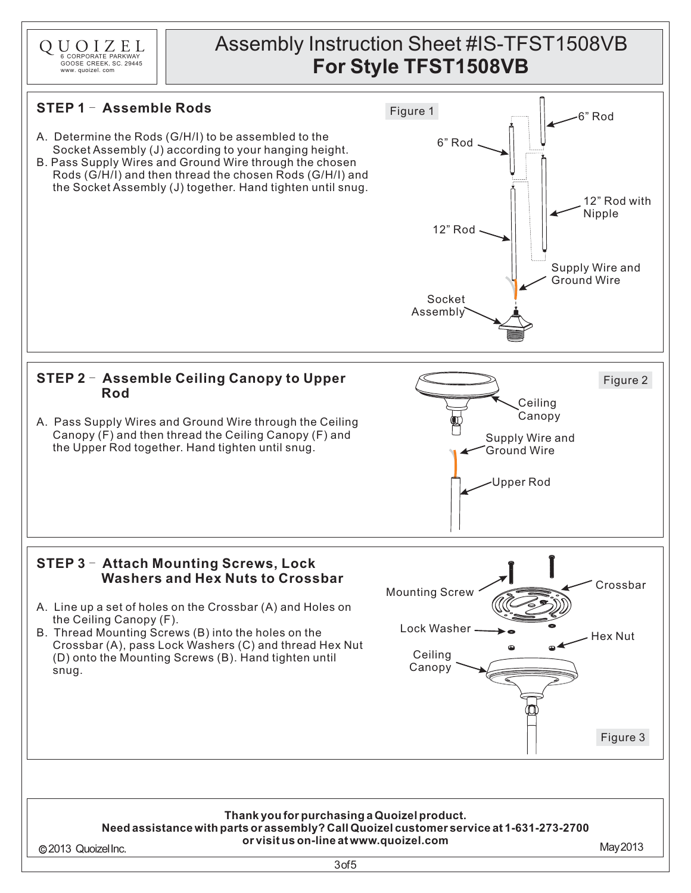

### Assembly Instruction Sheet #IS-TFST1508VB **For Style TFST1508VB**

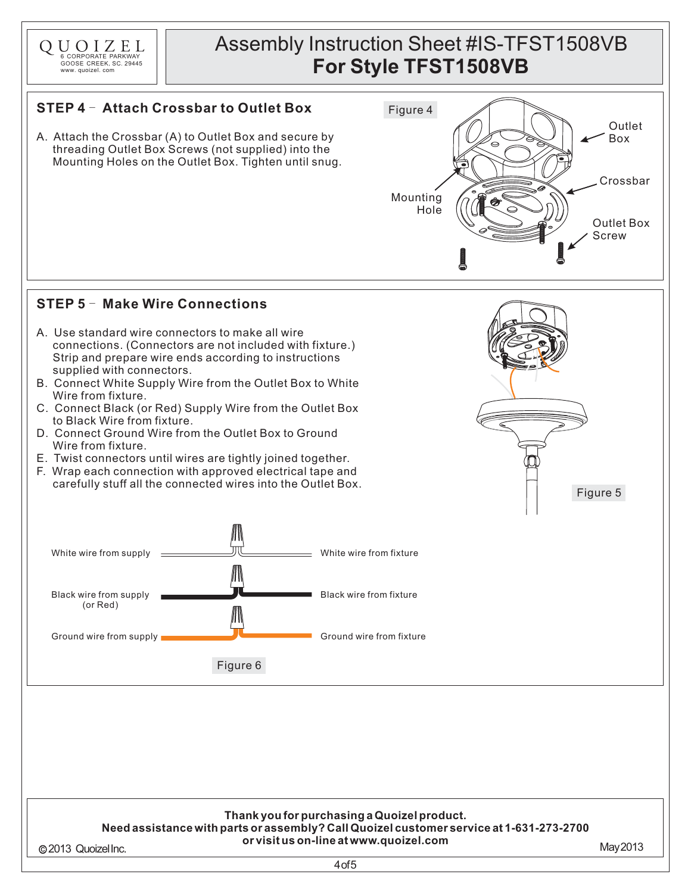

## Assembly Instruction Sheet #IS-TFST1508VB **For Style TFST1508VB**